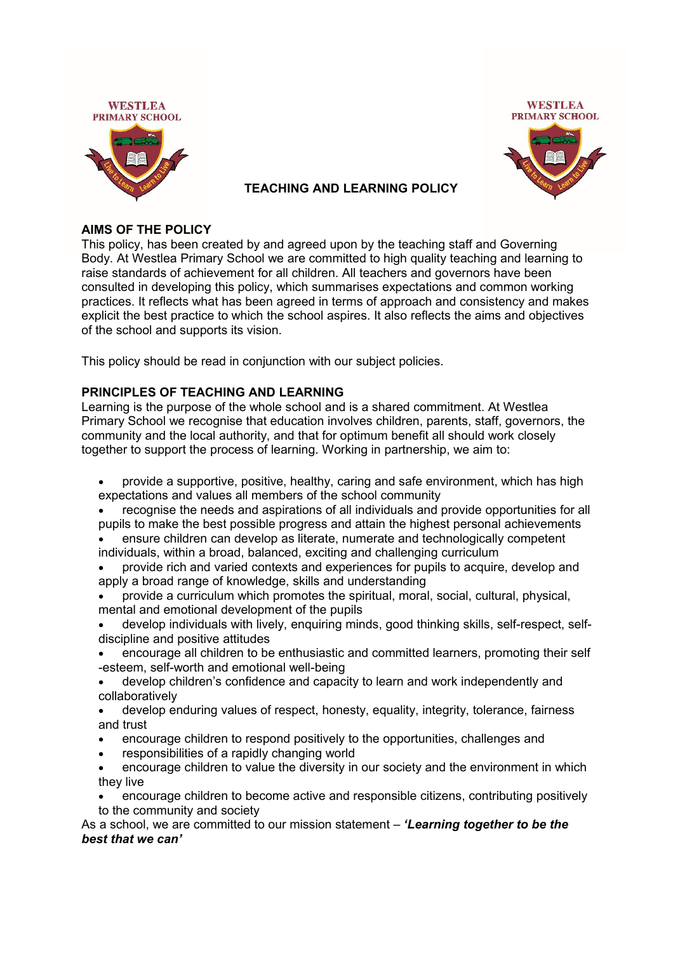



## **TEACHING AND LEARNING POLICY**

#### **AIMS OF THE POLICY**

This policy, has been created by and agreed upon by the teaching staff and Governing Body. At Westlea Primary School we are committed to high quality teaching and learning to raise standards of achievement for all children. All teachers and governors have been consulted in developing this policy, which summarises expectations and common working practices. It reflects what has been agreed in terms of approach and consistency and makes explicit the best practice to which the school aspires. It also reflects the aims and objectives of the school and supports its vision.

This policy should be read in conjunction with our subject policies.

#### **PRINCIPLES OF TEACHING AND LEARNING**

Learning is the purpose of the whole school and is a shared commitment. At Westlea Primary School we recognise that education involves children, parents, staff, governors, the community and the local authority, and that for optimum benefit all should work closely together to support the process of learning. Working in partnership, we aim to:

- provide a supportive, positive, healthy, caring and safe environment, which has high expectations and values all members of the school community
- recognise the needs and aspirations of all individuals and provide opportunities for all pupils to make the best possible progress and attain the highest personal achievements
- ensure children can develop as literate, numerate and technologically competent individuals, within a broad, balanced, exciting and challenging curriculum
- provide rich and varied contexts and experiences for pupils to acquire, develop and apply a broad range of knowledge, skills and understanding
- provide a curriculum which promotes the spiritual, moral, social, cultural, physical, mental and emotional development of the pupils
- develop individuals with lively, enquiring minds, good thinking skills, self-respect, selfdiscipline and positive attitudes
- encourage all children to be enthusiastic and committed learners, promoting their self -esteem, self-worth and emotional well-being
- develop children's confidence and capacity to learn and work independently and collaboratively
- develop enduring values of respect, honesty, equality, integrity, tolerance, fairness and trust
- encourage children to respond positively to the opportunities, challenges and
- responsibilities of a rapidly changing world
- encourage children to value the diversity in our society and the environment in which they live
- encourage children to become active and responsible citizens, contributing positively to the community and society

As a school, we are committed to our mission statement – *'Learning together to be the best that we can'*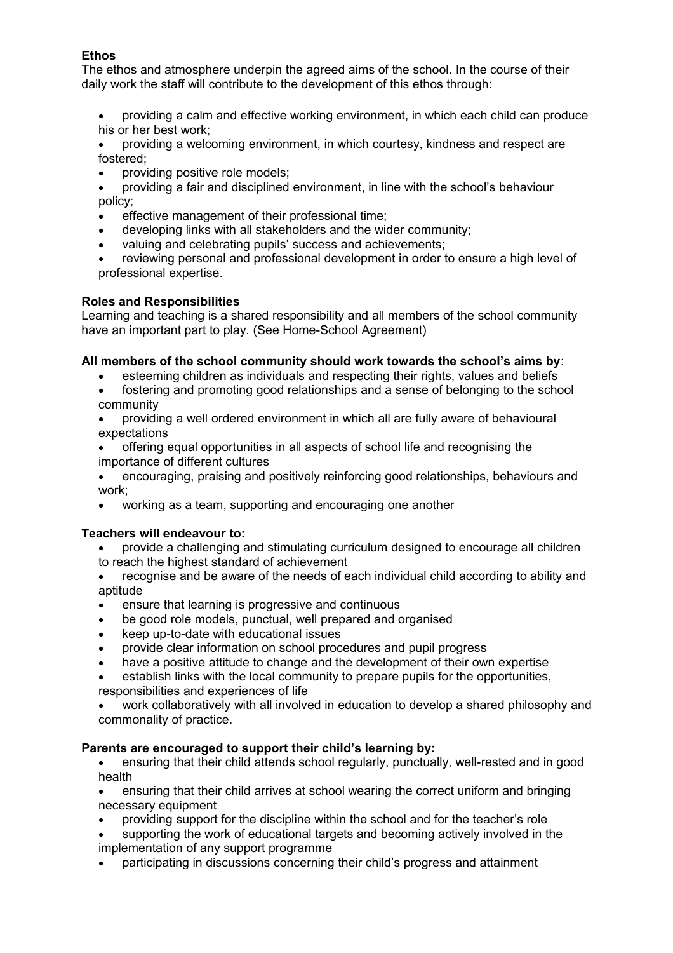# **Ethos**

The ethos and atmosphere underpin the agreed aims of the school. In the course of their daily work the staff will contribute to the development of this ethos through:

- providing a calm and effective working environment, in which each child can produce his or her best work;
- providing a welcoming environment, in which courtesy, kindness and respect are fostered;
- providing positive role models;
- providing a fair and disciplined environment, in line with the school's behaviour policy;
- effective management of their professional time;
- developing links with all stakeholders and the wider community;
- valuing and celebrating pupils' success and achievements;
- reviewing personal and professional development in order to ensure a high level of professional expertise.

#### **Roles and Responsibilities**

Learning and teaching is a shared responsibility and all members of the school community have an important part to play. (See Home-School Agreement)

#### **All members of the school community should work towards the school's aims by**:

- esteeming children as individuals and respecting their rights, values and beliefs
- fostering and promoting good relationships and a sense of belonging to the school community
- providing a well ordered environment in which all are fully aware of behavioural expectations
- offering equal opportunities in all aspects of school life and recognising the importance of different cultures

 encouraging, praising and positively reinforcing good relationships, behaviours and work;

working as a team, supporting and encouraging one another

#### **Teachers will endeavour to:**

- provide a challenging and stimulating curriculum designed to encourage all children to reach the highest standard of achievement
- recognise and be aware of the needs of each individual child according to ability and aptitude
- ensure that learning is progressive and continuous
- be good role models, punctual, well prepared and organised
- keep up-to-date with educational issues
- provide clear information on school procedures and pupil progress
- have a positive attitude to change and the development of their own expertise
- establish links with the local community to prepare pupils for the opportunities, responsibilities and experiences of life
- work collaboratively with all involved in education to develop a shared philosophy and
- commonality of practice.

#### **Parents are encouraged to support their child's learning by:**

- ensuring that their child attends school regularly, punctually, well-rested and in good health
- ensuring that their child arrives at school wearing the correct uniform and bringing necessary equipment
- providing support for the discipline within the school and for the teacher's role
- supporting the work of educational targets and becoming actively involved in the implementation of any support programme
- participating in discussions concerning their child's progress and attainment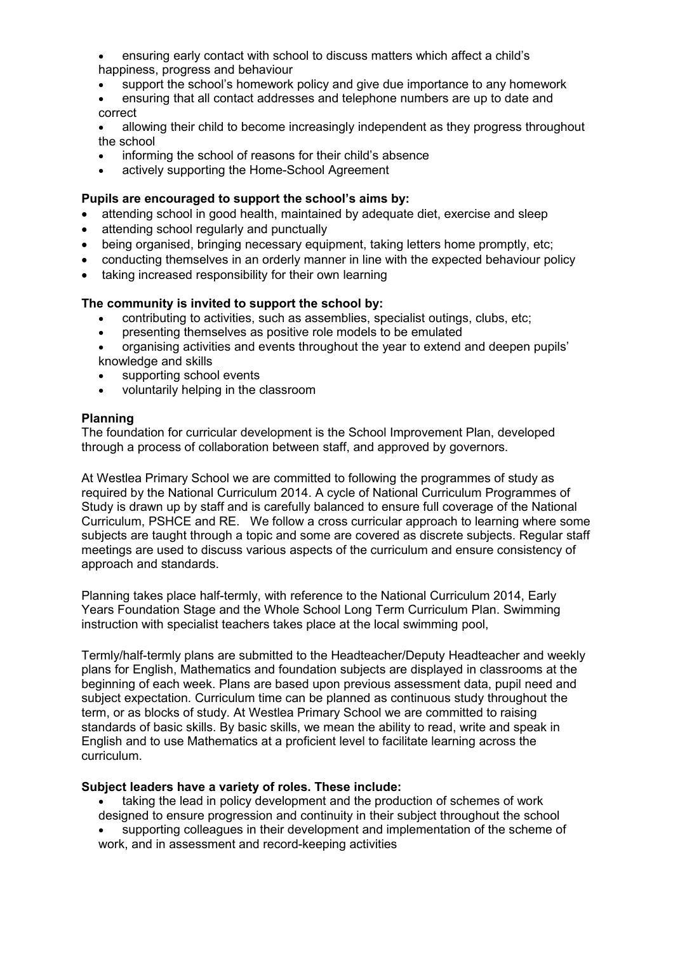- ensuring early contact with school to discuss matters which affect a child's happiness, progress and behaviour
- support the school's homework policy and give due importance to any homework
- ensuring that all contact addresses and telephone numbers are up to date and correct

 allowing their child to become increasingly independent as they progress throughout the school

- informing the school of reasons for their child's absence
- actively supporting the Home-School Agreement

## **Pupils are encouraged to support the school's aims by:**

- attending school in good health, maintained by adequate diet, exercise and sleep
- attending school regularly and punctually
- being organised, bringing necessary equipment, taking letters home promptly, etc;
- conducting themselves in an orderly manner in line with the expected behaviour policy
- taking increased responsibility for their own learning

## **The community is invited to support the school by:**

- contributing to activities, such as assemblies, specialist outings, clubs, etc;
- presenting themselves as positive role models to be emulated
- organising activities and events throughout the year to extend and deepen pupils' knowledge and skills
- supporting school events
- voluntarily helping in the classroom

#### **Planning**

The foundation for curricular development is the School Improvement Plan, developed through a process of collaboration between staff, and approved by governors.

At Westlea Primary School we are committed to following the programmes of study as required by the National Curriculum 2014. A cycle of National Curriculum Programmes of Study is drawn up by staff and is carefully balanced to ensure full coverage of the National Curriculum, PSHCE and RE. We follow a cross curricular approach to learning where some subjects are taught through a topic and some are covered as discrete subjects. Regular staff meetings are used to discuss various aspects of the curriculum and ensure consistency of approach and standards.

Planning takes place half-termly, with reference to the National Curriculum 2014, Early Years Foundation Stage and the Whole School Long Term Curriculum Plan. Swimming instruction with specialist teachers takes place at the local swimming pool,

Termly/half-termly plans are submitted to the Headteacher/Deputy Headteacher and weekly plans for English, Mathematics and foundation subjects are displayed in classrooms at the beginning of each week. Plans are based upon previous assessment data, pupil need and subject expectation. Curriculum time can be planned as continuous study throughout the term, or as blocks of study. At Westlea Primary School we are committed to raising standards of basic skills. By basic skills, we mean the ability to read, write and speak in English and to use Mathematics at a proficient level to facilitate learning across the curriculum.

#### **Subject leaders have a variety of roles. These include:**

- taking the lead in policy development and the production of schemes of work
- designed to ensure progression and continuity in their subject throughout the school supporting colleagues in their development and implementation of the scheme of
- work, and in assessment and record-keeping activities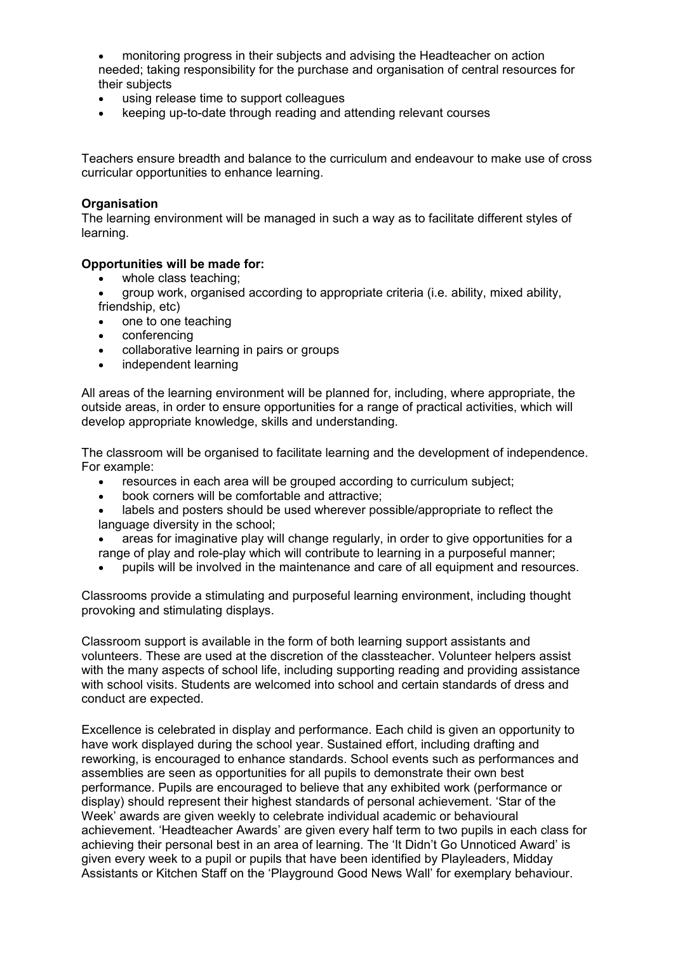monitoring progress in their subjects and advising the Headteacher on action needed; taking responsibility for the purchase and organisation of central resources for their subjects

- using release time to support colleagues
- keeping up-to-date through reading and attending relevant courses

Teachers ensure breadth and balance to the curriculum and endeavour to make use of cross curricular opportunities to enhance learning.

#### **Organisation**

The learning environment will be managed in such a way as to facilitate different styles of learning.

#### **Opportunities will be made for:**

- whole class teaching;
- group work, organised according to appropriate criteria (i.e. ability, mixed ability, friendship, etc)
- one to one teaching
- conferencing
- collaborative learning in pairs or groups
- independent learning

All areas of the learning environment will be planned for, including, where appropriate, the outside areas, in order to ensure opportunities for a range of practical activities, which will develop appropriate knowledge, skills and understanding.

The classroom will be organised to facilitate learning and the development of independence. For example:

- resources in each area will be grouped according to curriculum subject;
- book corners will be comfortable and attractive;
- labels and posters should be used wherever possible/appropriate to reflect the language diversity in the school;
- areas for imaginative play will change regularly, in order to give opportunities for a range of play and role-play which will contribute to learning in a purposeful manner;
- pupils will be involved in the maintenance and care of all equipment and resources.

Classrooms provide a stimulating and purposeful learning environment, including thought provoking and stimulating displays.

Classroom support is available in the form of both learning support assistants and volunteers. These are used at the discretion of the classteacher. Volunteer helpers assist with the many aspects of school life, including supporting reading and providing assistance with school visits. Students are welcomed into school and certain standards of dress and conduct are expected.

Excellence is celebrated in display and performance. Each child is given an opportunity to have work displayed during the school year. Sustained effort, including drafting and reworking, is encouraged to enhance standards. School events such as performances and assemblies are seen as opportunities for all pupils to demonstrate their own best performance. Pupils are encouraged to believe that any exhibited work (performance or display) should represent their highest standards of personal achievement. 'Star of the Week' awards are given weekly to celebrate individual academic or behavioural achievement. 'Headteacher Awards' are given every half term to two pupils in each class for achieving their personal best in an area of learning. The 'It Didn't Go Unnoticed Award' is given every week to a pupil or pupils that have been identified by Playleaders, Midday Assistants or Kitchen Staff on the 'Playground Good News Wall' for exemplary behaviour.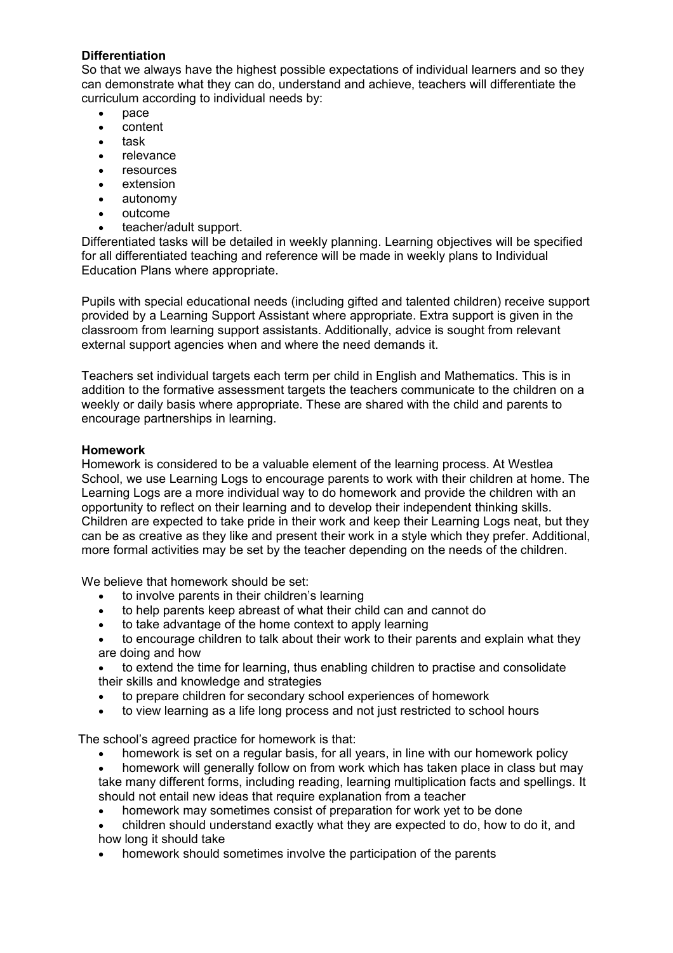# **Differentiation**

So that we always have the highest possible expectations of individual learners and so they can demonstrate what they can do, understand and achieve, teachers will differentiate the curriculum according to individual needs by:

- pace
- content
- task
- relevance
- resources
- extension
- autonomy
- outcome
- teacher/adult support.

Differentiated tasks will be detailed in weekly planning. Learning objectives will be specified for all differentiated teaching and reference will be made in weekly plans to Individual Education Plans where appropriate.

Pupils with special educational needs (including gifted and talented children) receive support provided by a Learning Support Assistant where appropriate. Extra support is given in the classroom from learning support assistants. Additionally, advice is sought from relevant external support agencies when and where the need demands it.

Teachers set individual targets each term per child in English and Mathematics. This is in addition to the formative assessment targets the teachers communicate to the children on a weekly or daily basis where appropriate. These are shared with the child and parents to encourage partnerships in learning.

#### **Homework**

Homework is considered to be a valuable element of the learning process. At Westlea School, we use Learning Logs to encourage parents to work with their children at home. The Learning Logs are a more individual way to do homework and provide the children with an opportunity to reflect on their learning and to develop their independent thinking skills. Children are expected to take pride in their work and keep their Learning Logs neat, but they can be as creative as they like and present their work in a style which they prefer. Additional, more formal activities may be set by the teacher depending on the needs of the children.

We believe that homework should be set:

- to involve parents in their children's learning
- to help parents keep abreast of what their child can and cannot do
- to take advantage of the home context to apply learning
- to encourage children to talk about their work to their parents and explain what they are doing and how
- to extend the time for learning, thus enabling children to practise and consolidate their skills and knowledge and strategies
- to prepare children for secondary school experiences of homework
- to view learning as a life long process and not just restricted to school hours

The school's agreed practice for homework is that:

- homework is set on a regular basis, for all years, in line with our homework policy
- homework will generally follow on from work which has taken place in class but may take many different forms, including reading, learning multiplication facts and spellings. It should not entail new ideas that require explanation from a teacher
- homework may sometimes consist of preparation for work yet to be done
- children should understand exactly what they are expected to do, how to do it, and how long it should take
- homework should sometimes involve the participation of the parents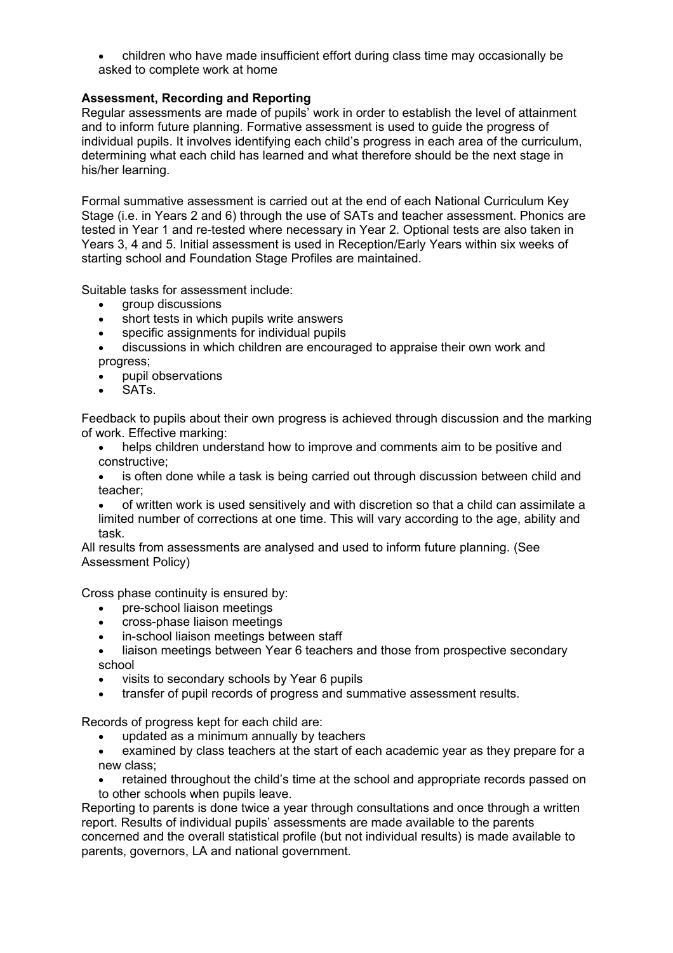children who have made insufficient effort during class time may occasionally be asked to complete work at home

## **Assessment, Recording and Reporting**

Regular assessments are made of pupils' work in order to establish the level of attainment and to inform future planning. Formative assessment is used to guide the progress of individual pupils. It involves identifying each child's progress in each area of the curriculum, determining what each child has learned and what therefore should be the next stage in his/her learning.

Formal summative assessment is carried out at the end of each National Curriculum Key Stage (i.e. in Years 2 and 6) through the use of SATs and teacher assessment. Phonics are tested in Year 1 and re-tested where necessary in Year 2. Optional tests are also taken in Years 3, 4 and 5. Initial assessment is used in Reception/Early Years within six weeks of starting school and Foundation Stage Profiles are maintained.

Suitable tasks for assessment include:

- group discussions
- short tests in which pupils write answers
- specific assignments for individual pupils
- discussions in which children are encouraged to appraise their own work and progress;
- pupil observations
- SATs.

Feedback to pupils about their own progress is achieved through discussion and the marking of work. Effective marking:

 helps children understand how to improve and comments aim to be positive and constructive;

 is often done while a task is being carried out through discussion between child and teacher;

 of written work is used sensitively and with discretion so that a child can assimilate a limited number of corrections at one time. This will vary according to the age, ability and task.

All results from assessments are analysed and used to inform future planning. (See Assessment Policy)

Cross phase continuity is ensured by:

- pre-school liaison meetings
- cross-phase liaison meetings
- in-school liaison meetings between staff
- liaison meetings between Year 6 teachers and those from prospective secondary school
- visits to secondary schools by Year 6 pupils
- transfer of pupil records of progress and summative assessment results.

Records of progress kept for each child are:

- updated as a minimum annually by teachers
- examined by class teachers at the start of each academic year as they prepare for a new class;
- retained throughout the child's time at the school and appropriate records passed on to other schools when pupils leave.

Reporting to parents is done twice a year through consultations and once through a written report. Results of individual pupils' assessments are made available to the parents concerned and the overall statistical profile (but not individual results) is made available to parents, governors, LA and national government.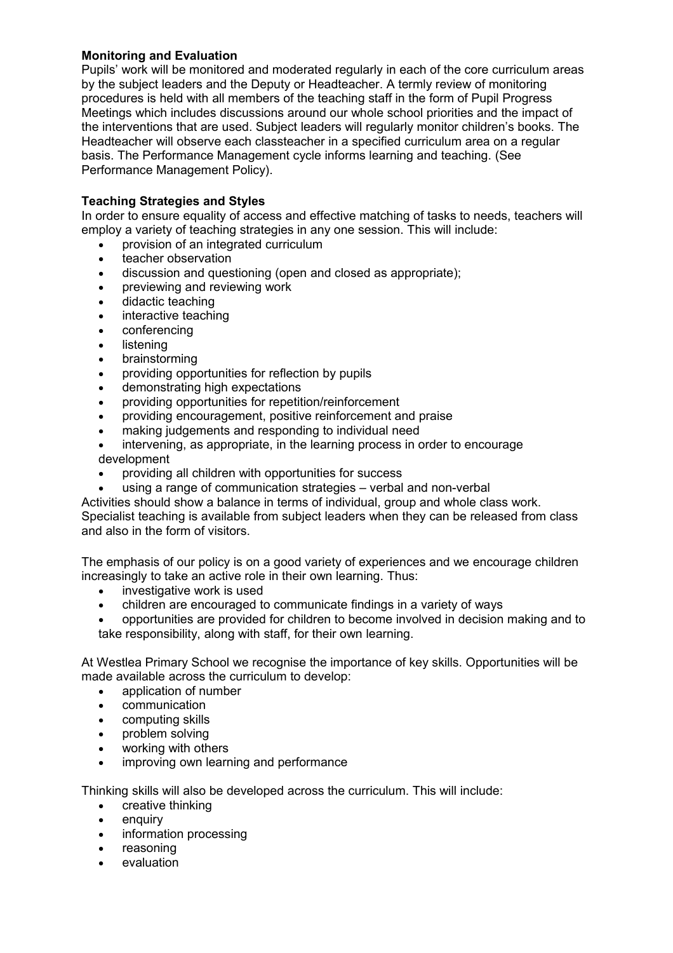## **Monitoring and Evaluation**

Pupils' work will be monitored and moderated regularly in each of the core curriculum areas by the subject leaders and the Deputy or Headteacher. A termly review of monitoring procedures is held with all members of the teaching staff in the form of Pupil Progress Meetings which includes discussions around our whole school priorities and the impact of the interventions that are used. Subject leaders will regularly monitor children's books. The Headteacher will observe each classteacher in a specified curriculum area on a regular basis. The Performance Management cycle informs learning and teaching. (See Performance Management Policy).

## **Teaching Strategies and Styles**

In order to ensure equality of access and effective matching of tasks to needs, teachers will employ a variety of teaching strategies in any one session. This will include:

- provision of an integrated curriculum
- teacher observation
- discussion and questioning (open and closed as appropriate);
- previewing and reviewing work
- didactic teaching
- interactive teaching
- conferencing
- listening
- brainstorming
- providing opportunities for reflection by pupils
- demonstrating high expectations
- providing opportunities for repetition/reinforcement
- providing encouragement, positive reinforcement and praise
- making judgements and responding to individual need
- intervening, as appropriate, in the learning process in order to encourage development
- providing all children with opportunities for success
- using a range of communication strategies verbal and non-verbal

Activities should show a balance in terms of individual, group and whole class work.

Specialist teaching is available from subject leaders when they can be released from class and also in the form of visitors.

The emphasis of our policy is on a good variety of experiences and we encourage children increasingly to take an active role in their own learning. Thus:

- investigative work is used
- children are encouraged to communicate findings in a variety of ways
- opportunities are provided for children to become involved in decision making and to take responsibility, along with staff, for their own learning.

At Westlea Primary School we recognise the importance of key skills. Opportunities will be made available across the curriculum to develop:

- application of number
- communication
- computing skills
- problem solving
- working with others
- improving own learning and performance

Thinking skills will also be developed across the curriculum. This will include:

- creative thinking
- enquiry
- information processing
- reasoning
- evaluation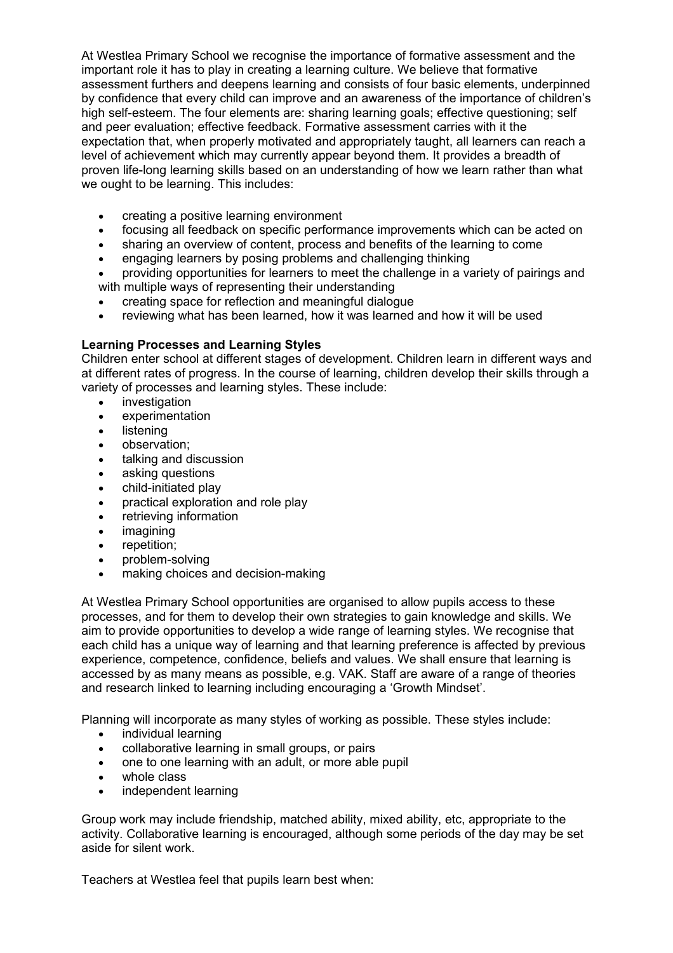At Westlea Primary School we recognise the importance of formative assessment and the important role it has to play in creating a learning culture. We believe that formative assessment furthers and deepens learning and consists of four basic elements, underpinned by confidence that every child can improve and an awareness of the importance of children's high self-esteem. The four elements are: sharing learning goals; effective questioning; self and peer evaluation; effective feedback. Formative assessment carries with it the expectation that, when properly motivated and appropriately taught, all learners can reach a level of achievement which may currently appear beyond them. It provides a breadth of proven life-long learning skills based on an understanding of how we learn rather than what we ought to be learning. This includes:

- creating a positive learning environment
- focusing all feedback on specific performance improvements which can be acted on
- sharing an overview of content, process and benefits of the learning to come
- engaging learners by posing problems and challenging thinking
- providing opportunities for learners to meet the challenge in a variety of pairings and with multiple ways of representing their understanding
- creating space for reflection and meaningful dialogue
- reviewing what has been learned, how it was learned and how it will be used

#### **Learning Processes and Learning Styles**

Children enter school at different stages of development. Children learn in different ways and at different rates of progress. In the course of learning, children develop their skills through a variety of processes and learning styles. These include:

- investigation
- experimentation
- listening
- observation:
- talking and discussion
- asking questions
- child-initiated play
- practical exploration and role play
- retrieving information
- imagining
- repetition:
- problem-solving
- making choices and decision-making

At Westlea Primary School opportunities are organised to allow pupils access to these processes, and for them to develop their own strategies to gain knowledge and skills. We aim to provide opportunities to develop a wide range of learning styles. We recognise that each child has a unique way of learning and that learning preference is affected by previous experience, competence, confidence, beliefs and values. We shall ensure that learning is accessed by as many means as possible, e.g. VAK. Staff are aware of a range of theories and research linked to learning including encouraging a 'Growth Mindset'.

Planning will incorporate as many styles of working as possible. These styles include:

- individual learning
- collaborative learning in small groups, or pairs
- one to one learning with an adult, or more able pupil
- whole class
- independent learning

Group work may include friendship, matched ability, mixed ability, etc, appropriate to the activity. Collaborative learning is encouraged, although some periods of the day may be set aside for silent work.

Teachers at Westlea feel that pupils learn best when: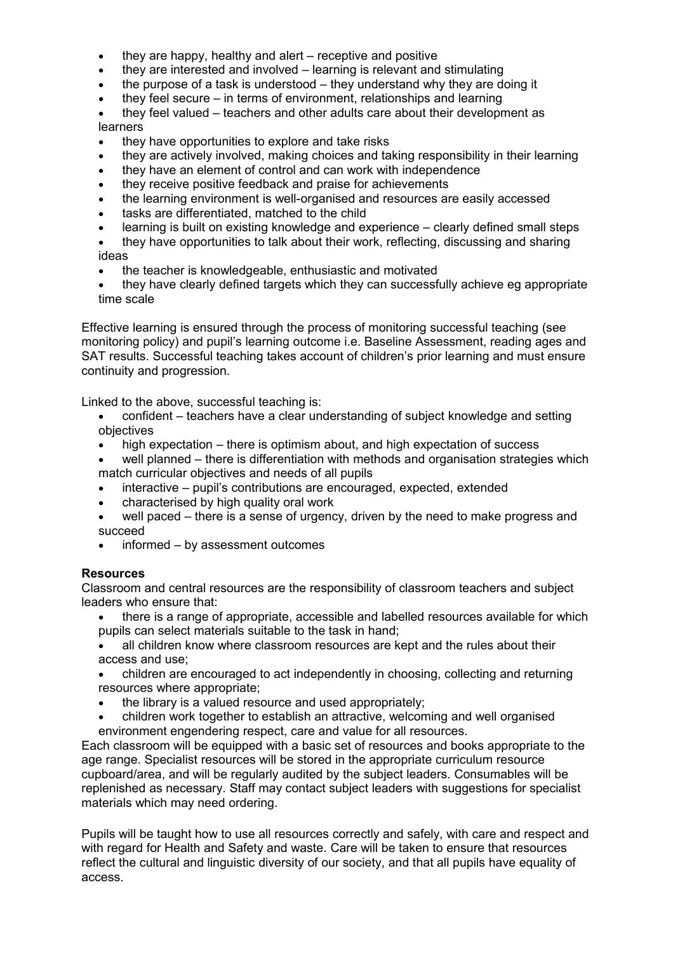- $\bullet$  they are happy, healthy and alert receptive and positive
- they are interested and involved learning is relevant and stimulating
- $\bullet$  the purpose of a task is understood they understand why they are doing it
- $\bullet$  they feel secure in terms of environment, relationships and learning

 they feel valued – teachers and other adults care about their development as learners

- they have opportunities to explore and take risks
- they are actively involved, making choices and taking responsibility in their learning
- they have an element of control and can work with independence
- they receive positive feedback and praise for achievements
- the learning environment is well-organised and resources are easily accessed
- tasks are differentiated, matched to the child
- learning is built on existing knowledge and experience clearly defined small steps
- they have opportunities to talk about their work, reflecting, discussing and sharing ideas
- the teacher is knowledgeable, enthusiastic and motivated
- they have clearly defined targets which they can successfully achieve eg appropriate time scale

Effective learning is ensured through the process of monitoring successful teaching (see monitoring policy) and pupil's learning outcome i.e. Baseline Assessment, reading ages and SAT results. Successful teaching takes account of children's prior learning and must ensure continuity and progression.

Linked to the above, successful teaching is:

- confident teachers have a clear understanding of subject knowledge and setting objectives
- high expectation there is optimism about, and high expectation of success
- well planned there is differentiation with methods and organisation strategies which match curricular objectives and needs of all pupils
- interactive pupil's contributions are encouraged, expected, extended
- characterised by high quality oral work
- well paced there is a sense of urgency, driven by the need to make progress and succeed
- informed by assessment outcomes

#### **Resources**

Classroom and central resources are the responsibility of classroom teachers and subject leaders who ensure that:

- there is a range of appropriate, accessible and labelled resources available for which pupils can select materials suitable to the task in hand;
- all children know where classroom resources are kept and the rules about their access and use;
- children are encouraged to act independently in choosing, collecting and returning resources where appropriate;
- the library is a valued resource and used appropriately;
- children work together to establish an attractive, welcoming and well organised environment engendering respect, care and value for all resources.

Each classroom will be equipped with a basic set of resources and books appropriate to the age range. Specialist resources will be stored in the appropriate curriculum resource cupboard/area, and will be regularly audited by the subject leaders. Consumables will be replenished as necessary. Staff may contact subject leaders with suggestions for specialist materials which may need ordering.

Pupils will be taught how to use all resources correctly and safely, with care and respect and with regard for Health and Safety and waste. Care will be taken to ensure that resources reflect the cultural and linguistic diversity of our society, and that all pupils have equality of access.